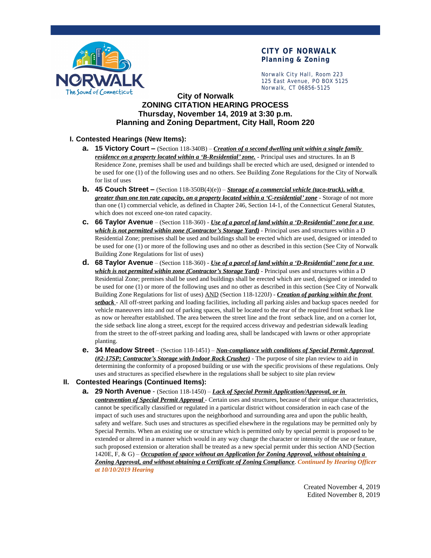

# **CITY OF NORWALK Planning & Zoning**

Norwalk City Hall, Room 223 125 East Avenue, PO BOX 5125 Norwalk, CT 06856-5125

## **City of Norwalk ZONING CITATION HEARING PROCESS Thursday, November 14, 2019 at 3:30 p.m. Planning and Zoning Department, City Hall, Room 220**

## **I. Contested Hearings (New Items):**

- **a. 15 Victory Court –** (Section 118-340B) *Creation of a second dwelling unit within a single family residence on a property located within a 'B-Residential' zone.* - Principal uses and structures. In an B Residence Zone, premises shall be used and buildings shall be erected which are used, designed or intended to be used for one (1) of the following uses and no others. See Building Zone Regulations for the City of Norwalk for list of uses
- **b. 45 Couch Street –** (Section 118-350B(4)(e)) *Storage of a commercial vehicle (taco-truck), with a greater than one ton rate capacity, on a property located within a 'C-residential' zone* - Storage of not more than one (1) commercial vehicle, as defined in Chapter 246, Section 14-1, of the Connecticut General Statutes, which does not exceed one-ton rated capacity.
- **c. 66 Taylor Avenue** (Section 118-360) *Use of a parcel of land within a 'D-Residential' zone for a use which is not permitted within zone (Contractor's Storage Yard)* - Principal uses and structures within a D Residential Zone; premises shall be used and buildings shall be erected which are used, designed or intended to be used for one (1) or more of the following uses and no other as described in this section (See City of Norwalk Building Zone Regulations for list of uses)
- **d. 68 Taylor Avenue** (Section 118-360) *Use of a parcel of land within a 'D-Residential' zone for a use which is not permitted within zone (Contractor's Storage Yard)* - Principal uses and structures within a D Residential Zone; premises shall be used and buildings shall be erected which are used, designed or intended to be used for one (1) or more of the following uses and no other as described in this section (See City of Norwalk Building Zone Regulations for list of uses) AND (Section 118-1220J) - *Creation of parking within the front setback* - All off-street parking and loading facilities, including all parking aisles and backup spaces needed for vehicle maneuvers into and out of parking spaces, shall be located to the rear of the required front setback line as now or hereafter established. The area between the street line and the front setback line, and on a corner lot, the side setback line along a street, except for the required access driveway and pedestrian sidewalk leading from the street to the off-street parking and loading area, shall be landscaped with lawns or other appropriate planting.
- **e. 34 Meadow Street** (Section 118-1451) *Non-compliance with conditions of Special Permit Approval (#2-17SP; Contractor's Storage with Indoor Rock Crusher)* - The purpose of site plan review to aid in determining the conformity of a proposed building or use with the specific provisions of these regulations. Only uses and structures as specified elsewhere in the regulations shall be subject to site plan review

#### **II. Contested Hearings (Continued Items):**

**a. 29 North Avenue** - (Section 118-1450) – *Lack of Special Permit Application/Approval, or in contravention of Special Permit Approval* - Certain uses and structures, because of their unique characteristics, cannot be specifically classified or regulated in a particular district without consideration in each case of the impact of such uses and structures upon the neighborhood and surrounding area and upon the public health, safety and welfare. Such uses and structures as specified elsewhere in the regulations may be permitted only by Special Permits. When an existing use or structure which is permitted only by special permit is proposed to be extended or altered in a manner which would in any way change the character or intensity of the use or feature, such proposed extension or alteration shall be treated as a new special permit under this section AND (Section 1420E, F, & G) – *Occupation of space without an Application for Zoning Approval, without obtaining a Zoning Approval, and without obtaining a Certificate of Zoning Compliance*. *Continued by Hearing Officer at 10/10/2019 Hearing*

> Created November 4, 2019 Edited November 8, 2019